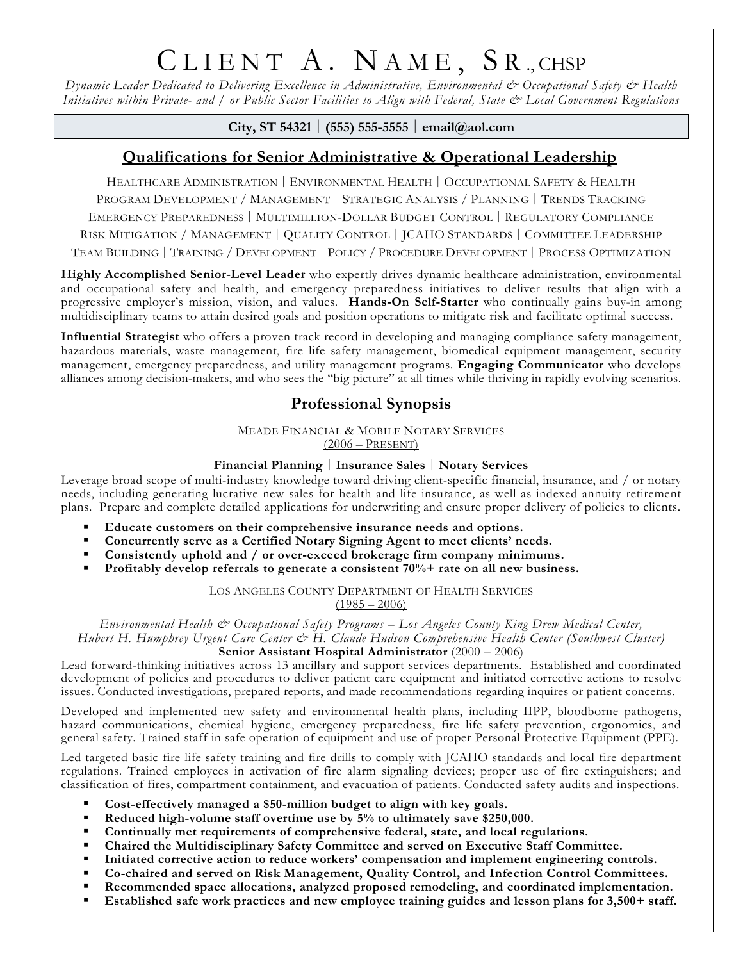# CLIENT A. NAME, SR., CHSP

*Dynamic Leader Dedicated to Delivering Excellence in Administrative, Environmental & Occupational Safety & Health Initiatives within Private- and / or Public Sector Facilities to Align with Federal, State & Local Government Regulations*

**City, ST 54321** │ **(555) 555-5555** │ **email@aol.com**

# **Qualifications for Senior Administrative & Operational Leadership**

HEALTHCARE ADMINISTRATION │ ENVIRONMENTAL HEALTH │ OCCUPATIONAL SAFETY & HEALTH PROGRAM DEVELOPMENT / MANAGEMENT │ STRATEGIC ANALYSIS / PLANNING │ TRENDS TRACKING EMERGENCY PREPAREDNESS │ MULTIMILLION-DOLLAR BUDGET CONTROL │ REGULATORY COMPLIANCE RISK MITIGATION / MANAGEMENT │ QUALITY CONTROL │ JCAHO STANDARDS │ COMMITTEE LEADERSHIP

TEAM BUILDING │ TRAINING / DEVELOPMENT │ POLICY / PROCEDURE DEVELOPMENT │ PROCESS OPTIMIZATION

**Highly Accomplished Senior-Level Leader** who expertly drives dynamic healthcare administration, environmental and occupational safety and health, and emergency preparedness initiatives to deliver results that align with a progressive employer's mission, vision, and values. **Hands-On Self-Starter** who continually gains buy-in among multidisciplinary teams to attain desired goals and position operations to mitigate risk and facilitate optimal success.

**Influential Strategist** who offers a proven track record in developing and managing compliance safety management, hazardous materials, waste management, fire life safety management, biomedical equipment management, security management, emergency preparedness, and utility management programs. **Engaging Communicator** who develops alliances among decision-makers, and who sees the "big picture" at all times while thriving in rapidly evolving scenarios.

## **Professional Synopsis**

# **MEADE FINANCIAL & MOBILE NOTARY SERVICES**

 $(2006 - PRESENT)$ 

#### **Financial Planning** │ **Insurance Sales** │ **Notary Services**

Leverage broad scope of multi-industry knowledge toward driving client-specific financial, insurance, and / or notary needs, including generating lucrative new sales for health and life insurance, as well as indexed annuity retirement plans. Prepare and complete detailed applications for underwriting and ensure proper delivery of policies to clients.

- **Educate customers on their comprehensive insurance needs and options.**
- **Concurrently serve as a Certified Notary Signing Agent to meet clients' needs.**
- **Consistently uphold and / or over-exceed brokerage firm company minimums.**
- **Profitably develop referrals to generate a consistent 70%+ rate on all new business.**

LOS ANGELES COUNTY DEPARTMENT OF HEALTH SERVICES

 $(1985 - 2006)$ 

*Environmental Health & Occupational Safety Programs – Los Angeles County King Drew Medical Center, Hubert H. Humphrey Urgent Care Center & H. Claude Hudson Comprehensive Health Center (Southwest Cluster)*

**Senior Assistant Hospital Administrator** (2000 – 2006)

Lead forward-thinking initiatives across 13 ancillary and support services departments. Established and coordinated development of policies and procedures to deliver patient care equipment and initiated corrective actions to resolve issues. Conducted investigations, prepared reports, and made recommendations regarding inquires or patient concerns.

Developed and implemented new safety and environmental health plans, including IIPP, bloodborne pathogens, hazard communications, chemical hygiene, emergency preparedness, fire life safety prevention, ergonomics, and general safety. Trained staff in safe operation of equipment and use of proper Personal Protective Equipment (PPE).

Led targeted basic fire life safety training and fire drills to comply with JCAHO standards and local fire department regulations. Trained employees in activation of fire alarm signaling devices; proper use of fire extinguishers; and classification of fires, compartment containment, and evacuation of patients. Conducted safety audits and inspections.

- **Cost-effectively managed a \$50-million budget to align with key goals.**
- **Reduced high-volume staff overtime use by 5% to ultimately save \$250,000.**
- **Continually met requirements of comprehensive federal, state, and local regulations.**
- **Chaired the Multidisciplinary Safety Committee and served on Executive Staff Committee.**
- **Initiated corrective action to reduce workers' compensation and implement engineering controls.**
- **Co-chaired and served on Risk Management, Quality Control, and Infection Control Committees.**
- **Recommended space allocations, analyzed proposed remodeling, and coordinated implementation.**
- **Established safe work practices and new employee training guides and lesson plans for 3,500+ staff.**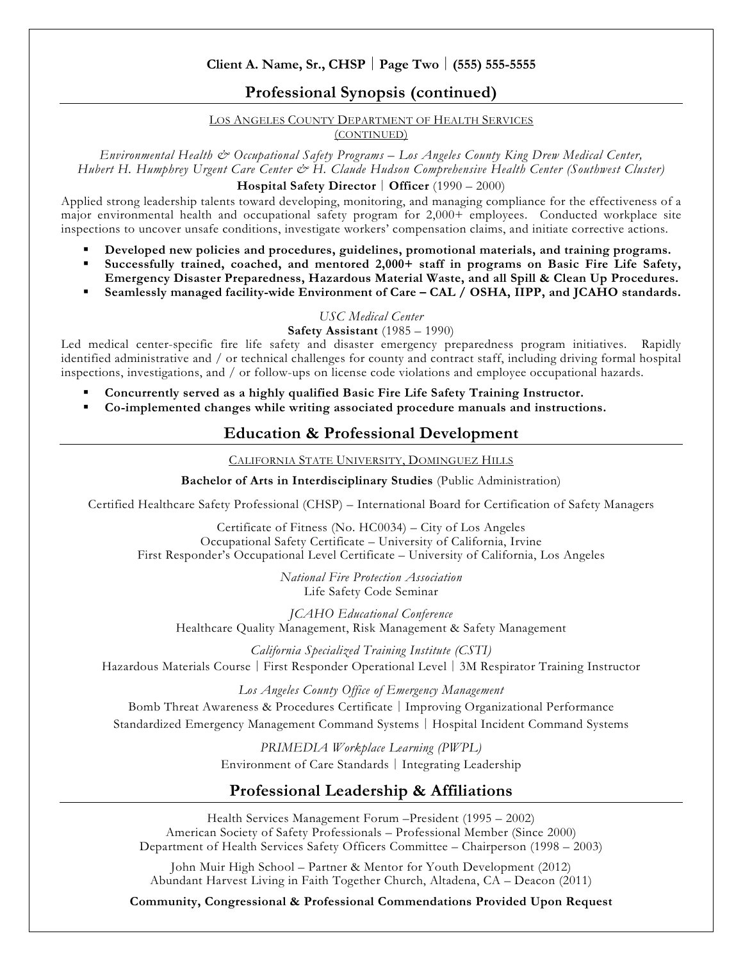#### **Client A. Name, Sr., CHSP** │ **Page Two** │ **(555) 555-5555**

#### **Professional Synopsis (continued)**

LOS ANGELES COUNTY DEPARTMENT OF HEALTH SERVICES

(CONTINUED)

*Environmental Health & Occupational Safety Programs – Los Angeles County King Drew Medical Center, Hubert H. Humphrey Urgent Care Center & H. Claude Hudson Comprehensive Health Center (Southwest Cluster)* **Hospital Safety Director** │ **Officer** (1990 – 2000)

Applied strong leadership talents toward developing, monitoring, and managing compliance for the effectiveness of a major environmental health and occupational safety program for 2,000+ employees. Conducted workplace site inspections to uncover unsafe conditions, investigate workers' compensation claims, and initiate corrective actions.

- **Developed new policies and procedures, guidelines, promotional materials, and training programs.**
- **Successfully trained, coached, and mentored 2,000+ staff in programs on Basic Fire Life Safety, Emergency Disaster Preparedness, Hazardous Material Waste, and all Spill & Clean Up Procedures.**
- **Seamlessly managed facility-wide Environment of Care – CAL / OSHA, IIPP, and JCAHO standards.**

*USC Medical Center*

**Safety Assistant** (1985 – 1990)

Led medical center-specific fire life safety and disaster emergency preparedness program initiatives. Rapidly identified administrative and / or technical challenges for county and contract staff, including driving formal hospital inspections, investigations, and / or follow-ups on license code violations and employee occupational hazards.

- **Concurrently served as a highly qualified Basic Fire Life Safety Training Instructor.**
- **Co-implemented changes while writing associated procedure manuals and instructions.**

### **Education & Professional Development**

CALIFORNIA STATE UNIVERSITY, DOMINGUEZ HILLS

**Bachelor of Arts in Interdisciplinary Studies** (Public Administration)

Certified Healthcare Safety Professional (CHSP) – International Board for Certification of Safety Managers

Certificate of Fitness (No. HC0034) – City of Los Angeles Occupational Safety Certificate – University of California, Irvine First Responder's Occupational Level Certificate – University of California, Los Angeles

> *National Fire Protection Association* Life Safety Code Seminar

*JCAHO Educational Conference* Healthcare Quality Management, Risk Management & Safety Management

*California Specialized Training Institute (CSTI)* Hazardous Materials Course │ First Responder Operational Level │ 3M Respirator Training Instructor

*Los Angeles County Office of Emergency Management* Bomb Threat Awareness & Procedures Certificate │ Improving Organizational Performance Standardized Emergency Management Command Systems │ Hospital Incident Command Systems

> *PRIMEDIA Workplace Learning (PWPL)* Environment of Care Standards │ Integrating Leadership

### **Professional Leadership & Affiliations**

Health Services Management Forum –President (1995 – 2002) American Society of Safety Professionals – Professional Member (Since 2000) Department of Health Services Safety Officers Committee – Chairperson (1998 – 2003)

John Muir High School – Partner & Mentor for Youth Development (2012) Abundant Harvest Living in Faith Together Church, Altadena, CA – Deacon (2011)

**Community, Congressional & Professional Commendations Provided Upon Request**